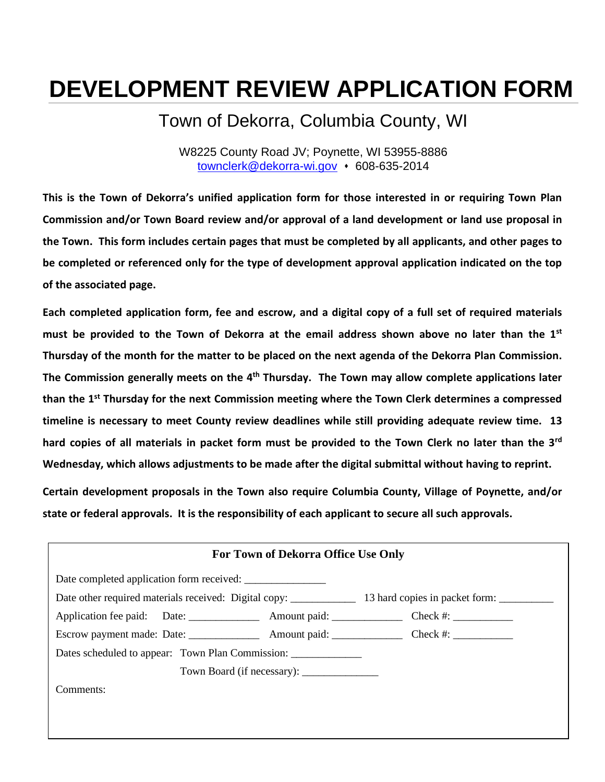# **DEVELOPMENT REVIEW APPLICATION FORM**

# Town of Dekorra, Columbia County, WI

W8225 County Road JV; Poynette, WI 53955-8886 [townclerk@dekorra-wi.gov](mailto:townclerk@dekorra-wi.gov) • 608-635-2014

**This is the Town of Dekorra's unified application form for those interested in or requiring Town Plan Commission and/or Town Board review and/or approval of a land development or land use proposal in the Town. This form includes certain pages that must be completed by all applicants, and other pages to be completed or referenced only for the type of development approval application indicated on the top of the associated page.** 

**Each completed application form, fee and escrow, and a digital copy of a full set of required materials must be provided to the Town of Dekorra at the email address shown above no later than the 1st Thursday of the month for the matter to be placed on the next agenda of the Dekorra Plan Commission.** The Commission generally meets on the 4<sup>th</sup> Thursday. The Town may allow complete applications later **than the 1st Thursday for the next Commission meeting where the Town Clerk determines a compressed timeline is necessary to meet County review deadlines while still providing adequate review time. 13 hard copies of all materials in packet form must be provided to the Town Clerk no later than the 3rd Wednesday, which allows adjustments to be made after the digital submittal without having to reprint.** 

**Certain development proposals in the Town also require Columbia County, Village of Poynette, and/or state or federal approvals. It is the responsibility of each applicant to secure all such approvals.** 

| For Town of Dekorra Office Use Only       |  |  |  |
|-------------------------------------------|--|--|--|
| Date completed application form received: |  |  |  |
|                                           |  |  |  |
|                                           |  |  |  |
|                                           |  |  |  |
|                                           |  |  |  |
|                                           |  |  |  |
| Comments:                                 |  |  |  |
|                                           |  |  |  |
|                                           |  |  |  |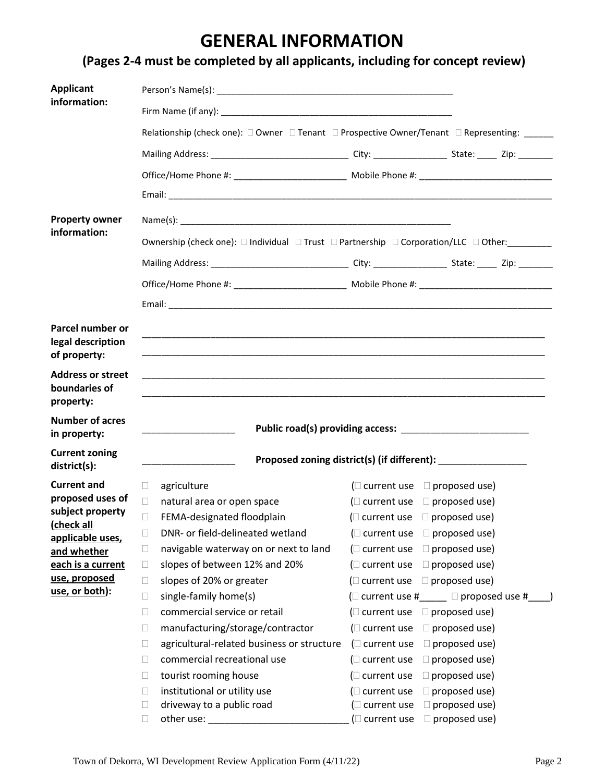# **GENERAL INFORMATION**

| <b>Applicant</b>                                       |                                                                                                                                                                               |                                                                 |                      |  |
|--------------------------------------------------------|-------------------------------------------------------------------------------------------------------------------------------------------------------------------------------|-----------------------------------------------------------------|----------------------|--|
| information:                                           |                                                                                                                                                                               |                                                                 |                      |  |
|                                                        | Relationship (check one): □ Owner □ Tenant □ Prospective Owner/Tenant □ Representing: _____                                                                                   |                                                                 |                      |  |
|                                                        |                                                                                                                                                                               |                                                                 |                      |  |
|                                                        |                                                                                                                                                                               |                                                                 |                      |  |
|                                                        |                                                                                                                                                                               |                                                                 |                      |  |
|                                                        |                                                                                                                                                                               |                                                                 |                      |  |
| <b>Property owner</b><br>information:                  |                                                                                                                                                                               |                                                                 |                      |  |
|                                                        | Ownership (check one): □ Individual □ Trust □ Partnership □ Corporation/LLC □ Other:________                                                                                  |                                                                 |                      |  |
|                                                        |                                                                                                                                                                               |                                                                 |                      |  |
|                                                        |                                                                                                                                                                               |                                                                 |                      |  |
|                                                        |                                                                                                                                                                               |                                                                 |                      |  |
| Parcel number or<br>legal description<br>of property:  | <u> 1989 - Johann Stoff, deutscher Stoff, der Stoff, der Stoff, der Stoff, der Stoff, der Stoff, der Stoff, der S</u>                                                         |                                                                 |                      |  |
| <b>Address or street</b><br>boundaries of<br>property: | <u> 1999 - Jan Barnett, fransk politik (d. 1989)</u><br><u> 1989 - Johann Harry Harry Harry Harry Harry Harry Harry Harry Harry Harry Harry Harry Harry Harry Harry Harry</u> |                                                                 |                      |  |
| <b>Number of acres</b><br>in property:                 |                                                                                                                                                                               |                                                                 |                      |  |
| <b>Current zoning</b><br>district(s):                  |                                                                                                                                                                               | Proposed zoning district(s) (if different): ___________________ |                      |  |
| <b>Current and</b>                                     | П.<br>agriculture                                                                                                                                                             | ( $\Box$ current use $\Box$ proposed use)                       |                      |  |
| proposed uses of                                       | natural area or open space<br>$\Box$                                                                                                                                          | ( $\Box$ current use $\Box$ proposed use)                       |                      |  |
| subject property<br>(check all                         | $\Box$<br>FEMA-designated floodplain                                                                                                                                          | ( $\Box$ current use $\Box$ proposed use)                       |                      |  |
| applicable uses,                                       | DNR- or field-delineated wetland<br>П                                                                                                                                         | ( $\Box$ current use $\Box$ proposed use)                       |                      |  |
| and whether                                            | navigable waterway on or next to land<br>□                                                                                                                                    | ( $\square$ current use                                         | $\Box$ proposed use) |  |
| each is a current                                      | slopes of between 12% and 20%<br>$\Box$                                                                                                                                       | ( $\Box$ current use $\Box$ proposed use)                       |                      |  |
| use, proposed<br>use, or both):                        | slopes of 20% or greater<br>$\Box$                                                                                                                                            | ( $\Box$ current use $\Box$ proposed use)                       |                      |  |
|                                                        | single-family home(s)<br>□                                                                                                                                                    | (□ current use #_____ □ proposed use #_                         |                      |  |
|                                                        | commercial service or retail<br>$\Box$                                                                                                                                        | ( $\Box$ current use $\Box$ proposed use)                       |                      |  |
|                                                        | manufacturing/storage/contractor<br>$\Box$                                                                                                                                    | ( $\square$ current use                                         | $\Box$ proposed use) |  |
|                                                        | agricultural-related business or structure<br>$\Box$                                                                                                                          | (□ current use                                                  | $\Box$ proposed use) |  |
|                                                        | commercial recreational use<br>П                                                                                                                                              | ( $\Box$ current use                                            | $\Box$ proposed use) |  |
|                                                        | tourist rooming house<br>$\Box$                                                                                                                                               | ( $\square$ current use                                         | $\Box$ proposed use) |  |
|                                                        | institutional or utility use<br>$\Box$                                                                                                                                        | ( $\square$ current use                                         | $\Box$ proposed use) |  |
|                                                        | driveway to a public road<br>$\Box$<br>other use:<br>□                                                                                                                        | $\Box$ current use<br>( $\Box$ current use $\Box$ proposed use) | $\Box$ proposed use) |  |
|                                                        |                                                                                                                                                                               |                                                                 |                      |  |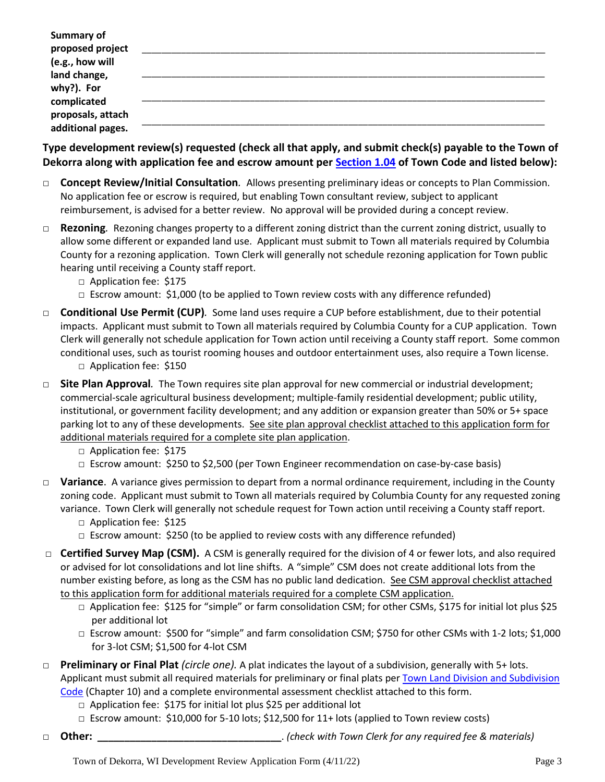| <b>Summary of</b><br>proposed project |  |
|---------------------------------------|--|
| (e.g., how will                       |  |
| land change,                          |  |
| why?). For                            |  |
| complicated                           |  |
| proposals, attach                     |  |
| additional pages.                     |  |

**Type development review(s) requested (check all that apply, and submit check(s) payable to the Town of Dekorra along with application fee and escrow amount per [Section 1.04](https://dekorra-wi.gov/wp-content/uploads/2021/03/Chapter-1-General-Provisions-updated-fee-schedule-March-2020-4821-7979-3850-v.1.pdf) of Town Code and listed below):**

- □ **Concept Review/Initial Consultation***.* Allows presenting preliminary ideas or concepts to Plan Commission. No application fee or escrow is required, but enabling Town consultant review, subject to applicant reimbursement, is advised for a better review. No approval will be provided during a concept review.
- □ **Rezoning***.* Rezoning changes property to a different zoning district than the current zoning district, usually to allow some different or expanded land use. Applicant must submit to Town all materials required by Columbia County for a rezoning application. Town Clerk will generally not schedule rezoning application for Town public hearing until receiving a County staff report.
	- □ Application fee: \$175
	- $\Box$  Escrow amount: \$1,000 (to be applied to Town review costs with any difference refunded)
- □ **Conditional Use Permit (CUP)***.* Some land uses require a CUP before establishment, due to their potential impacts. Applicant must submit to Town all materials required by Columbia County for a CUP application. Town Clerk will generally not schedule application for Town action until receiving a County staff report. Some common conditional uses, such as tourist rooming houses and outdoor entertainment uses, also require a Town license. □ Application fee: \$150
- □ **Site Plan Approval***.* The Town requires site plan approval for new commercial or industrial development; commercial-scale agricultural business development; multiple-family residential development; public utility, institutional, or government facility development; and any addition or expansion greater than 50% or 5+ space parking lot to any of these developments. See site plan approval checklist attached to this application form for additional materials required for a complete site plan application.
	- □ Application fee: \$175
	- $\Box$  Escrow amount: \$250 to \$2,500 (per Town Engineer recommendation on case-by-case basis)
- □ **Variance**. A variance gives permission to depart from a normal ordinance requirement, including in the County zoning code. Applicant must submit to Town all materials required by Columbia County for any requested zoning variance. Town Clerk will generally not schedule request for Town action until receiving a County staff report.
	- □ Application fee: \$125
	- $\Box$  Escrow amount: \$250 (to be applied to review costs with any difference refunded)
- □ **Certified Survey Map (CSM).** A CSM is generally required for the division of 4 or fewer lots, and also required or advised for lot consolidations and lot line shifts. A "simple" CSM does not create additional lots from the number existing before, as long as the CSM has no public land dedication. See CSM approval checklist attached to this application form for additional materials required for a complete CSM application.
	- □ Application fee: \$125 for "simple" or farm consolidation CSM; for other CSMs, \$175 for initial lot plus \$25 per additional lot
	- □ Escrow amount: \$500 for "simple" and farm consolidation CSM; \$750 for other CSMs with 1-2 lots; \$1,000 for 3-lot CSM; \$1,500 for 4-lot CSM
- □ **Preliminary or Final Plat** *(circle one).* A plat indicates the layout of a subdivision, generally with 5+ lots. Applicant must submit all required materials for preliminary or final plats per Town Land Division and Subdivision [Code](https://dekorra-wi.gov/wp-content/uploads/2021/03/Chapter-10-Land-Division-and-Subdivision-Code.pdf) (Chapter 10) and a complete environmental assessment checklist attached to this form.
	- □ Application fee: \$175 for initial lot plus \$25 per additional lot
	- □ Escrow amount: \$10,000 for 5-10 lots; \$12,500 for 11+ lots (applied to Town review costs)
- □ **Other: \_\_\_\_\_\_\_\_\_\_\_\_\_\_\_\_\_\_\_\_\_\_\_\_\_\_\_\_\_\_\_\_\_\_**. *(check with Town Clerk for any required fee & materials)*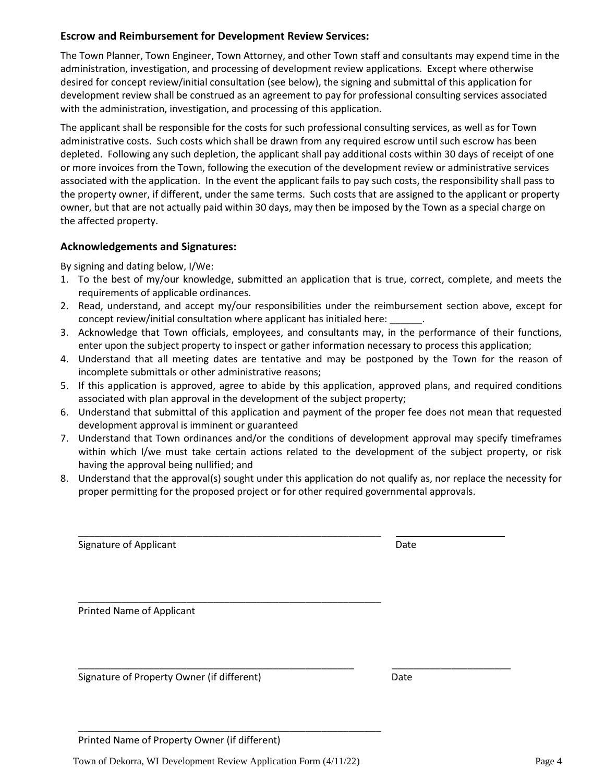#### **Escrow and Reimbursement for Development Review Services:**

The Town Planner, Town Engineer, Town Attorney, and other Town staff and consultants may expend time in the administration, investigation, and processing of development review applications. Except where otherwise desired for concept review/initial consultation (see below), the signing and submittal of this application for development review shall be construed as an agreement to pay for professional consulting services associated with the administration, investigation, and processing of this application.

The applicant shall be responsible for the costs for such professional consulting services, as well as for Town administrative costs. Such costs which shall be drawn from any required escrow until such escrow has been depleted. Following any such depletion, the applicant shall pay additional costs within 30 days of receipt of one or more invoices from the Town, following the execution of the development review or administrative services associated with the application. In the event the applicant fails to pay such costs, the responsibility shall pass to the property owner, if different, under the same terms. Such costs that are assigned to the applicant or property owner, but that are not actually paid within 30 days, may then be imposed by the Town as a special charge on the affected property.

#### **Acknowledgements and Signatures:**

By signing and dating below, I/We:

- 1. To the best of my/our knowledge, submitted an application that is true, correct, complete, and meets the requirements of applicable ordinances.
- 2. Read, understand, and accept my/our responsibilities under the reimbursement section above, except for concept review/initial consultation where applicant has initialed here:
- 3. Acknowledge that Town officials, employees, and consultants may, in the performance of their functions, enter upon the subject property to inspect or gather information necessary to process this application;
- 4. Understand that all meeting dates are tentative and may be postponed by the Town for the reason of incomplete submittals or other administrative reasons;
- 5. If this application is approved, agree to abide by this application, approved plans, and required conditions associated with plan approval in the development of the subject property;
- 6. Understand that submittal of this application and payment of the proper fee does not mean that requested development approval is imminent or guaranteed
- 7. Understand that Town ordinances and/or the conditions of development approval may specify timeframes within which I/we must take certain actions related to the development of the subject property, or risk having the approval being nullified; and
- 8. Understand that the approval(s) sought under this application do not qualify as, nor replace the necessity for proper permitting for the proposed project or for other required governmental approvals.

| <b>Signature of Applicant</b>              | Date |
|--------------------------------------------|------|
| Printed Name of Applicant                  |      |
|                                            |      |
| Signature of Property Owner (if different) | Date |

Printed Name of Property Owner (if different)

Town of Dekorra, WI Development Review Application Form (4/11/22) Page 4

\_\_\_\_\_\_\_\_\_\_\_\_\_\_\_\_\_\_\_\_\_\_\_\_\_\_\_\_\_\_\_\_\_\_\_\_\_\_\_\_\_\_\_\_\_\_\_\_\_\_\_\_\_\_\_\_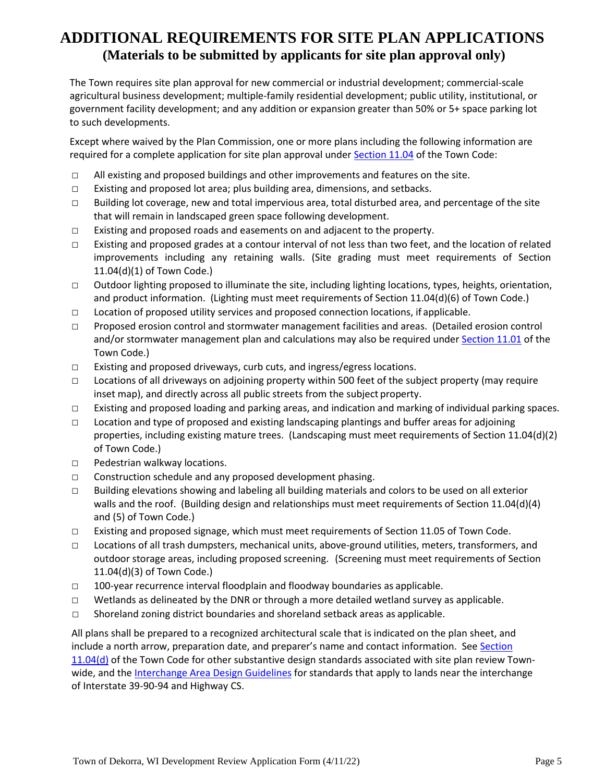## **ADDITIONAL REQUIREMENTS FOR SITE PLAN APPLICATIONS (Materials to be submitted by applicants for site plan approval only)**

The Town requires site plan approval for new commercial or industrial development; commercial-scale agricultural business development; multiple-family residential development; public utility, institutional, or government facility development; and any addition or expansion greater than 50% or 5+ space parking lot to such developments.

Except where waived by the Plan Commission, one or more plans including the following information are required for a complete application for site plan approval under [Section 11.04](https://dekorra-wi.gov/wp-content/uploads/2021/05/Chapter-11-Building-and-Construction-Codes-updated-February-2021-rev-5-19-21.pdf) of the Town Code:

- $\Box$  All existing and proposed buildings and other improvements and features on the site.
- □ Existing and proposed lot area; plus building area, dimensions, and setbacks.
- $\Box$  Building lot coverage, new and total impervious area, total disturbed area, and percentage of the site that will remain in landscaped green space following development.
- $\Box$  Existing and proposed roads and easements on and adjacent to the property.
- □ Existing and proposed grades at a contour interval of not less than two feet, and the location of related improvements including any retaining walls. (Site grading must meet requirements of Section 11.04(d)(1) of Town Code.)
- □ Outdoor lighting proposed to illuminate the site, including lighting locations, types, heights, orientation, and product information. (Lighting must meet requirements of Section 11.04(d)(6) of Town Code.)
- $\Box$  Location of proposed utility services and proposed connection locations, if applicable.
- □ Proposed erosion control and stormwater management facilities and areas. (Detailed erosion control and/or stormwater management plan and calculations may also be required under [Section 11.01](https://dekorra-wi.gov/wp-content/uploads/2021/05/Chapter-11-Building-and-Construction-Codes-updated-February-2021-rev-5-19-21.pdf) of the Town Code.)
- $\Box$  Existing and proposed driveways, curb cuts, and ingress/egress locations.
- $\Box$  Locations of all driveways on adjoining property within 500 feet of the subject property (may require inset map), and directly across all public streets from the subject property.
- □ Existing and proposed loading and parking areas, and indication and marking of individual parking spaces.
- □ Location and type of proposed and existing landscaping plantings and buffer areas for adjoining properties, including existing mature trees. (Landscaping must meet requirements of Section 11.04(d)(2) of Town Code.)
- □ Pedestrian walkway locations.
- □ Construction schedule and any proposed development phasing.
- $\Box$  Building elevations showing and labeling all building materials and colors to be used on all exterior walls and the roof. (Building design and relationships must meet requirements of Section 11.04(d)(4) and (5) of Town Code.)
- □ Existing and proposed signage, which must meet requirements of Section 11.05 of Town Code.
- □ Locations of all trash dumpsters, mechanical units, above-ground utilities, meters, transformers, and outdoor storage areas, including proposed screening. (Screening must meet requirements of Section 11.04(d)(3) of Town Code.)
- $\Box$  100-year recurrence interval floodplain and floodway boundaries as applicable.
- $\Box$  Wetlands as delineated by the DNR or through a more detailed wetland survey as applicable.
- $\square$  Shoreland zoning district boundaries and shoreland setback areas as applicable.

All plans shall be prepared to a recognized architectural scale that is indicated on the plan sheet, and include a north arrow, preparation date, and preparer's name and contact information. See Section [11.04\(d\)](https://dekorra-wi.gov/wp-content/uploads/2021/05/Chapter-11-Building-and-Construction-Codes-updated-February-2021-rev-5-19-21.pdf) of the Town Code for other substantive design standards associated with site plan review Townwide, and the [Interchange Area Design Guidelines](https://dekorra-wi.gov/wp-content/uploads/2021/03/InterchangeDesignGuidelines.pdf) for standards that apply to lands near the interchange of Interstate 39-90-94 and Highway CS.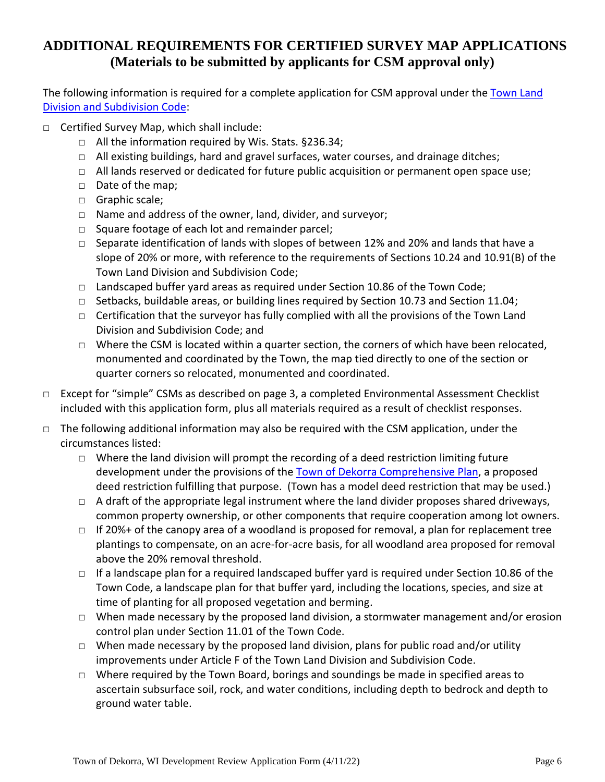### **ADDITIONAL REQUIREMENTS FOR CERTIFIED SURVEY MAP APPLICATIONS (Materials to be submitted by applicants for CSM approval only)**

The following information is required for a complete application for CSM approval under the [Town Land](https://dekorra-wi.gov/wp-content/uploads/2021/03/Chapter-10-Land-Division-and-Subdivision-Code.pdf)  [Division and Subdivision Code:](https://dekorra-wi.gov/wp-content/uploads/2021/03/Chapter-10-Land-Division-and-Subdivision-Code.pdf)

- □ Certified Survey Map, which shall include:
	- □ All the information required by Wis. Stats. §236.34;
	- □ All existing buildings, hard and gravel surfaces, water courses, and drainage ditches;
	- □ All lands reserved or dedicated for future public acquisition or permanent open space use;
	- □ Date of the map;
	- □ Graphic scale;
	- □ Name and address of the owner, land, divider, and surveyor;
	- □ Square footage of each lot and remainder parcel;
	- □ Separate identification of lands with slopes of between 12% and 20% and lands that have a slope of 20% or more, with reference to the requirements of Sections 10.24 and 10.91(B) of the Town Land Division and Subdivision Code;
	- $\Box$  Landscaped buffer yard areas as required under Section 10.86 of the Town Code;
	- $\Box$  Setbacks, buildable areas, or building lines required by Section 10.73 and Section 11.04;
	- □ Certification that the surveyor has fully complied with all the provisions of the Town Land Division and Subdivision Code; and
	- $\Box$  Where the CSM is located within a quarter section, the corners of which have been relocated, monumented and coordinated by the Town, the map tied directly to one of the section or quarter corners so relocated, monumented and coordinated.
- □ Except for "simple" CSMs as described on page 3, a completed Environmental Assessment Checklist included with this application form, plus all materials required as a result of checklist responses.
- □ The following additional information may also be required with the CSM application, under the circumstances listed:
	- □ Where the land division will prompt the recording of a deed restriction limiting future development under the provisions of the [Town of Dekorra Comprehensive Plan,](https://dekorra-wi.gov/comprehensive-plan/) a proposed deed restriction fulfilling that purpose. (Town has a model deed restriction that may be used.)
	- $\Box$  A draft of the appropriate legal instrument where the land divider proposes shared driveways, common property ownership, or other components that require cooperation among lot owners.
	- □ If 20%+ of the canopy area of a woodland is proposed for removal, a plan for replacement tree plantings to compensate, on an acre-for-acre basis, for all woodland area proposed for removal above the 20% removal threshold.
	- $\Box$  If a landscape plan for a required landscaped buffer yard is required under Section 10.86 of the Town Code, a landscape plan for that buffer yard, including the locations, species, and size at time of planting for all proposed vegetation and berming.
	- □ When made necessary by the proposed land division, a stormwater management and/or erosion control plan under Section 11.01 of the Town Code.
	- $\Box$  When made necessary by the proposed land division, plans for public road and/or utility improvements under Article F of the Town Land Division and Subdivision Code.
	- □ Where required by the Town Board, borings and soundings be made in specified areas to ascertain subsurface soil, rock, and water conditions, including depth to bedrock and depth to ground water table.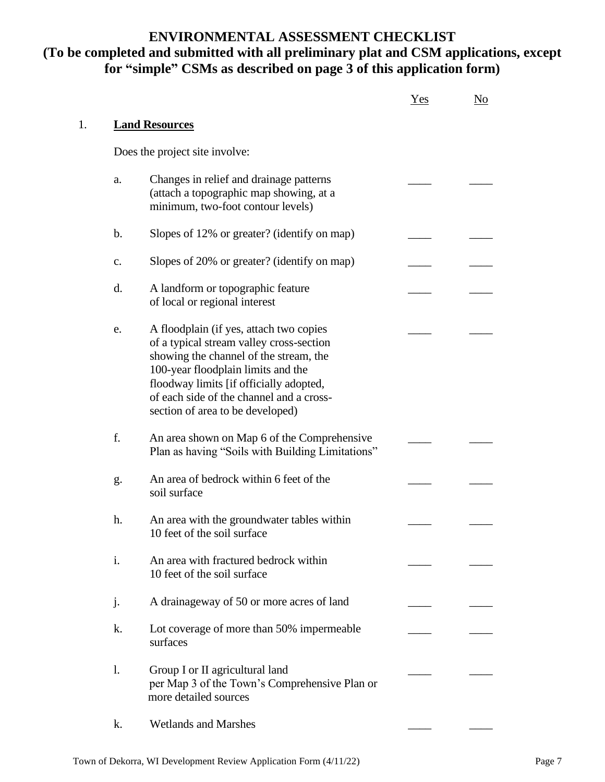### **ENVIRONMENTAL ASSESSMENT CHECKLIST (To be completed and submitted with all preliminary plat and CSM applications, except for "simple" CSMs as described on page 3 of this application form)**

|                |                                                                                                                                                                                                                                                                                                | Yes | No |
|----------------|------------------------------------------------------------------------------------------------------------------------------------------------------------------------------------------------------------------------------------------------------------------------------------------------|-----|----|
|                | <b>Land Resources</b>                                                                                                                                                                                                                                                                          |     |    |
|                | Does the project site involve:                                                                                                                                                                                                                                                                 |     |    |
| a.             | Changes in relief and drainage patterns<br>(attach a topographic map showing, at a<br>minimum, two-foot contour levels)                                                                                                                                                                        |     |    |
| $\mathbf b$ .  | Slopes of 12% or greater? (identify on map)                                                                                                                                                                                                                                                    |     |    |
| $C_{\bullet}$  | Slopes of 20% or greater? (identify on map)                                                                                                                                                                                                                                                    |     |    |
| d.             | A landform or topographic feature<br>of local or regional interest                                                                                                                                                                                                                             |     |    |
| e.             | A floodplain (if yes, attach two copies<br>of a typical stream valley cross-section<br>showing the channel of the stream, the<br>100-year floodplain limits and the<br>floodway limits [if officially adopted,<br>of each side of the channel and a cross-<br>section of area to be developed) |     |    |
| f.             | An area shown on Map 6 of the Comprehensive<br>Plan as having "Soils with Building Limitations"                                                                                                                                                                                                |     |    |
| g.             | An area of bedrock within 6 feet of the<br>soil surface                                                                                                                                                                                                                                        |     |    |
| h.             | An area with the groundwater tables within<br>10 feet of the soil surface                                                                                                                                                                                                                      |     |    |
| $\mathbf{i}$ . | An area with fractured bedrock within<br>10 feet of the soil surface                                                                                                                                                                                                                           |     |    |
| j.             | A drainageway of 50 or more acres of land                                                                                                                                                                                                                                                      |     |    |
| k.             | Lot coverage of more than 50% impermeable<br>surfaces                                                                                                                                                                                                                                          |     |    |
| 1.             | Group I or II agricultural land<br>per Map 3 of the Town's Comprehensive Plan or<br>more detailed sources                                                                                                                                                                                      |     |    |
| k.             | <b>Wetlands and Marshes</b>                                                                                                                                                                                                                                                                    |     |    |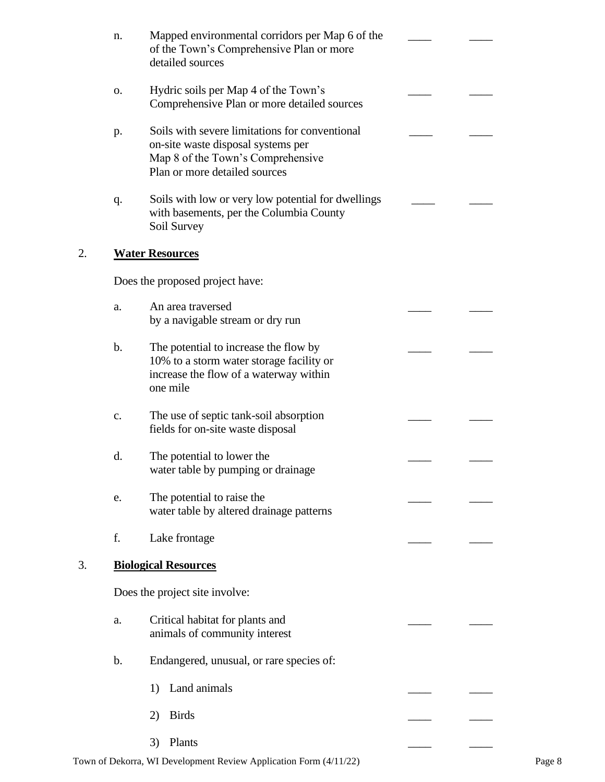|    | n.            | Mapped environmental corridors per Map 6 of the<br>of the Town's Comprehensive Plan or more<br>detailed sources                                            |  |
|----|---------------|------------------------------------------------------------------------------------------------------------------------------------------------------------|--|
|    | O.            | Hydric soils per Map 4 of the Town's<br>Comprehensive Plan or more detailed sources                                                                        |  |
|    | p.            | Soils with severe limitations for conventional<br>on-site waste disposal systems per<br>Map 8 of the Town's Comprehensive<br>Plan or more detailed sources |  |
|    | q.            | Soils with low or very low potential for dwellings<br>with basements, per the Columbia County<br>Soil Survey                                               |  |
| 2. |               | <b>Water Resources</b>                                                                                                                                     |  |
|    |               | Does the proposed project have:                                                                                                                            |  |
|    | a.            | An area traversed<br>by a navigable stream or dry run                                                                                                      |  |
|    | $\mathbf b$ . | The potential to increase the flow by<br>10% to a storm water storage facility or<br>increase the flow of a waterway within<br>one mile                    |  |
|    | c.            | The use of septic tank-soil absorption<br>fields for on-site waste disposal                                                                                |  |
|    | d.            | The potential to lower the<br>water table by pumping or drainage                                                                                           |  |
|    | e.            | The potential to raise the<br>water table by altered drainage patterns                                                                                     |  |
|    | f.            | Lake frontage                                                                                                                                              |  |
| 3. |               | <b>Biological Resources</b>                                                                                                                                |  |
|    |               | Does the project site involve:                                                                                                                             |  |
|    | a.            | Critical habitat for plants and<br>animals of community interest                                                                                           |  |
|    | $\mathbf b$ . | Endangered, unusual, or rare species of:                                                                                                                   |  |
|    |               | Land animals<br>1)                                                                                                                                         |  |
|    |               | <b>Birds</b><br>2)                                                                                                                                         |  |
|    |               | Plants<br>3)                                                                                                                                               |  |